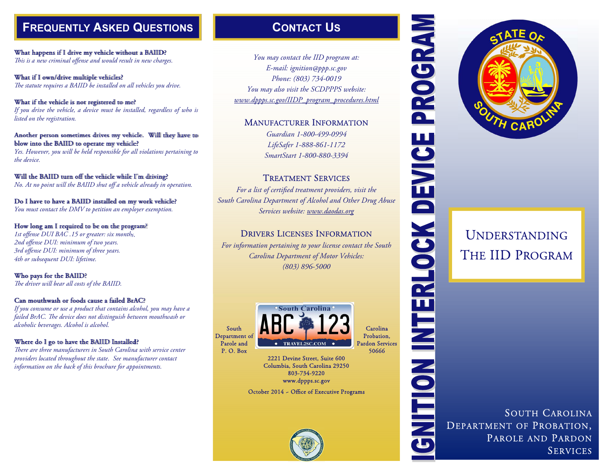



# ENEQUENTLY ASKED QUESTIONS<br>
MARKED QUESTIONS<br>
MARKED CONTACT US<br>
MARKED CONTACT US<br>
MARKED CONTACT NOW THE USE OF CALIFORNIA PROTECTION OF THE UP PROGRAM<br>
THE UP PROGRAM<br>
THE UP PROGRAM<br>
THE UP PROGRAM PROTECTION OF THE UP

# <sup>U</sup>NDERSTANDING THE IID PROGRAM

SOUTH CAROLINA<br>DEPARTMENT OF PROBATION,